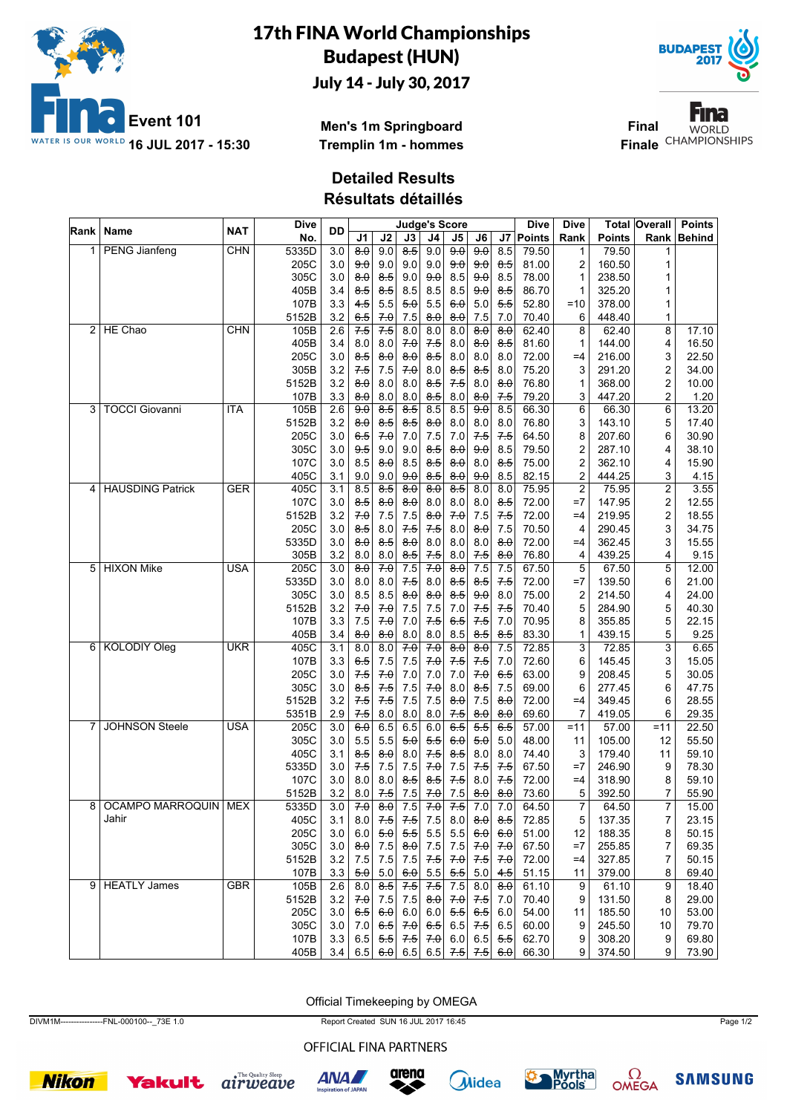

## 17th FINA World Championships Budapest (HUN)

July 14 - July 30, 2017



Fina **Final WORLD Finale** CHAMPIONSHIPS

**Men's 1m Springboard Tremplin 1m - hommes**

## **Detailed Results**

**Résultats détaillés**

|   | Rank   Name            | <b>NAT</b> | <b>Dive</b> | DD      |                     |                                                               |                     |                          | <b>Judge's Score</b> |                     |                     | <b>Dive</b>   | Dive           |               | <b>Total Overall</b>    | <b>Points</b> |
|---|------------------------|------------|-------------|---------|---------------------|---------------------------------------------------------------|---------------------|--------------------------|----------------------|---------------------|---------------------|---------------|----------------|---------------|-------------------------|---------------|
|   |                        |            | No.         |         | J <sub>1</sub>      | J2                                                            | J3                  | J <sub>4</sub>           | J <sub>5</sub>       | J6                  | J7                  | <b>Points</b> | Rank           | <b>Points</b> | Rank                    | <b>Behind</b> |
| 1 | <b>PENG Jianfeng</b>   | <b>CHN</b> | 5335D       | 3.0     | $8\theta$           | 9.0                                                           | $\overline{8.5}$    | 9.0                      | 90                   | 90                  | 8.5                 | 79.50         | 1              | 79.50         | 1                       |               |
|   |                        |            | 205C        | 3.0     | 9.0                 | 9.0                                                           | 9.0                 | 9.0                      | 9.0                  | 90                  | 8.5                 | 81.00         | $\overline{2}$ | 160.50        | 1                       |               |
|   |                        |            | 305C        | 3.0     | 8.0                 | 8.5                                                           | 9.0                 | 9.0                      | 8.5                  | 9.0                 | 8.5                 | 78.00         | 1              | 238.50        | 1                       |               |
|   |                        |            | 405B        | 3.4     | 8.5                 | 8.5                                                           | 8.5                 | 8.5                      | 8.5                  | 9.0                 | 8.5                 | 86.70         | 1              | 325.20        | 1                       |               |
|   |                        |            | 107B        | 3.3     | 4.5                 | 5.5                                                           | 5.0                 | 5.5                      | 60                   | 5.0                 | 5.5                 | 52.80         | $=10$          | 378.00        | 1                       |               |
|   |                        |            | 5152B       | 3.2     | 6.5                 | 7.0                                                           | 7.5                 | 8.0                      | 8.0                  | 7.5                 | 7.0                 | 70.40         | 6              | 448.40        | 1                       |               |
|   | 2 HE Chao              | <b>CHN</b> | 105B        | 2.6     | 7.5                 | 7.5                                                           | 8.0                 | 8.0                      | 8.0                  | 8.0                 | 8.0                 | 62.40         | 8              | 62.40         | 8                       | 17.10         |
|   |                        |            | 405B        | 3.4     | 8.0                 | 8.0                                                           | 7.0                 | $7-5$                    | 8.0                  | 8.0                 | 8.5                 | 81.60         | 1              | 144.00        | 4                       | 16.50         |
|   |                        |            | 205C        | 3.0     | 8.5                 | 8.0                                                           | 8.0                 | 8.5                      | 8.0                  | 8.0                 | 8.0                 | 72.00         | $=4$           | 216.00        | 3                       | 22.50         |
|   |                        |            | 305B        | 3.2     | 7.5                 | 7.5                                                           | 70                  | 8.0                      | 8.5                  | 8.5                 | 8.0                 | 75.20         | 3              | 291.20        | 2                       | 34.00         |
|   |                        |            | 5152B       | 3.2     | $\theta$ : $\theta$ | 8.0                                                           | 8.0                 | $8-5$                    | 7.5                  | 8.0                 | $\theta$ . $\theta$ | 76.80         | 1              | 368.00        | 2                       | 10.00         |
|   |                        |            | 107B        | 3.3     | 8.0                 | 8.0                                                           | 8.0                 | $8-5$                    | 8.0                  | 8.0                 | 7.5                 | 79.20         | 3              | 447.20        | 2                       | 1.20          |
|   | 3   TOCCI Giovanni     | <b>ITA</b> | 105B        | 2.6     | 90                  | $\frac{8}{5}$                                                 | $\overline{8.5}$    | 8.5                      | 8.5                  | 9.0                 | 8.5                 | 66.30         | 6              | 66.30         | 6                       | 13.20         |
|   |                        |            | 5152B       | 3.2     | $\theta$ : $\theta$ | 8.5                                                           | 8.5                 | 8.0                      | 8.0                  | 8.0                 | 8.0                 | 76.80         | 3              | 143.10        | 5                       | 17.40         |
|   |                        |            | 205C        | 3.0     | 6.5                 | 7.0                                                           | 7.0                 | 7.5                      | 7.0                  | $7-5$               | 7.5                 | 64.50         | 8              | 207.60        | 6                       | 30.90         |
|   |                        |            |             |         | 9.5                 | 9.0                                                           |                     |                          |                      | 9.0                 | 8.5                 |               |                |               |                         |               |
|   |                        |            | 305C        | 3.0     |                     |                                                               | 9.0                 | 8.5                      | 8.0                  |                     |                     | 79.50         | $\overline{c}$ | 287.10        | 4                       | 38.10         |
|   |                        |            | 107C        | 3.0     | 8.5                 | $\theta$                                                      | 8.5                 | $8-5$                    | $8\theta$            | 8.0                 | 8.5                 | 75.00         | $\overline{2}$ | 362.10        | 4                       | 15.90         |
|   |                        |            | 405C        | 3.1     | 9.0                 | 9.0                                                           | 9.0                 | $8-5$                    | 8.0                  | 9.0                 | 8.5                 | 82.15         | 2              | 444.25        | 3                       | 4.15          |
|   | 4 HAUSDING Patrick     | <b>GER</b> | 405C        | 3.1     | 8.5                 | $\frac{8}{5}$                                                 | $\overline{8.0}$    | 8.0                      | $\overline{85}$      | 8.0                 | 8.0                 | 75.95         | $\overline{c}$ | 75.95         | $\overline{\mathbf{c}}$ | 3.55          |
|   |                        |            | 107C        | 3.0     | 8.5                 | $\theta$ . $\theta$                                           | $\theta$ . $\theta$ | 8.0                      | 8.0                  | 8.0                 | 8.5                 | 72.00         | $=7$           | 147.95        | 2                       | 12.55         |
|   |                        |            | 5152B       | 3.2     | 7.0                 | 7.5                                                           | 7.5                 | 8.0                      | 7.0                  | 7.5                 | 7.5                 | 72.00         | $=4$           | 219.95        | 2                       | 18.55         |
|   |                        |            | 205C        | 3.0     | 8.5                 | 8.0                                                           | 7.5                 | 7.5                      | 8.0                  | 8.0                 | 7.5                 | 70.50         | 4              | 290.45        | 3                       | 34.75         |
|   |                        |            | 5335D       | 3.0     | 8.0                 | 8.5                                                           | $\theta$ . $\theta$ | 8.0                      | 8.0                  | 8.0                 | $\theta$ . $\theta$ | 72.00         | $=4$           | 362.45        | 3                       | 15.55         |
|   |                        |            | 305B        | 3.2     | 8.0                 | 8.0                                                           | 8.5                 | 7.5                      | 8.0                  | 7.5                 | 8.0                 | 76.80         | 4              | 439.25        | 4                       | 9.15          |
|   | 5 HIXON Mike           | <b>USA</b> | 205C        | 3.0     | $\overline{80}$     | 70                                                            | 7.5                 | 70                       | $\overline{80}$      | 7.5                 | 7.5                 | 67.50         | 5              | 67.50         | 5                       | 12.00         |
|   |                        |            | 5335D       | 3.0     | 8.0                 | 8.0                                                           | 7.5                 | 8.0                      | $8-5$                | 8.5                 | 7.5                 | 72.00         | $=7$           | 139.50        | 6                       | 21.00         |
|   |                        |            | 305C        | 3.0     | 8.5                 | 8.5                                                           | 8.0                 | 8.0                      | 8.5                  | 9.0                 | 8.0                 | 75.00         | $\overline{c}$ | 214.50        | 4                       | 24.00         |
|   |                        |            | 5152B       | 3.2     | 70                  | 70                                                            | 7.5                 | 7.5                      | 7.0                  | 7.5                 | 7.5                 | 70.40         | 5              | 284.90        | 5                       | 40.30         |
|   |                        |            | 107B        | 3.3     | 7.5                 | 70                                                            | 7.0                 | $7-5$                    | 6.5                  | 7.5                 | 7.0                 | 70.95         | 8              | 355.85        | 5                       | 22.15         |
|   |                        |            | 405B        | 3.4     | 8.0                 | $\theta$ . $\theta$                                           | 8.0                 | 8.0                      | 8.5                  | $8-5$               | 8.5                 | 83.30         | 1              | 439.15        | 5                       | 9.25          |
|   | 6 KOLODIY Oleg         | <b>UKR</b> | 405C        | 3.1     | 8.0                 | 8.0                                                           | 70                  | 70                       | 8.0                  | 8.0                 | 7.5                 | 72.85         | 3              | 72.85         | $\overline{3}$          | 6.65          |
|   |                        |            | 107B        | 3.3     | 6.5                 | 7.5                                                           | 7.5                 | 7.0                      | 7.5                  | 7.5                 | 7.0                 | 72.60         | 6              | 145.45        | 3                       | 15.05         |
|   |                        |            | 205C        | 3.0     | 7.5                 | 7.0                                                           | 7.0                 | 7.0                      | 7.0                  | 7.0                 | 6.5                 | 63.00         | 9              | 208.45        | 5                       | 30.05         |
|   |                        |            | 305C        | 3.0     | 8.5                 | 7.5                                                           | 7.5                 | 7.0                      | 8.0                  | 8.5                 | 7.5                 | 69.00         | 6              | 277.45        | 6                       | 47.75         |
|   |                        |            | 5152B       | 3.2     | 7.5                 | 7.5                                                           | 7.5                 | 7.5                      | 8.0                  | 7.5                 | $\theta$ . $\theta$ | 72.00         | $=4$           | 349.45        | 6                       | 28.55         |
|   |                        |            | 5351B       | 2.9     | 7.5                 | 8.0                                                           | 8.0                 | 8.0                      | 7.5                  | 8.0                 | 8.0                 | 69.60         | 7              | 419.05        | 6                       | 29.35         |
| 7 | <b>JOHNSON Steele</b>  | <b>USA</b> | 205C        | 3.0     | 6.0                 | 6.5                                                           | 6.5                 | 6.0                      | $6-5$                | $\overline{5.5}$    | 6.5                 | 57.00         | $=11$          | 57.00         | $= 11$                  | 22.50         |
|   |                        |            | 305C        | 3.0     | 5.5                 | 5.5                                                           | 5.0                 | 5.5                      | 6.0                  | 5.0                 | 5.0                 | 48.00         | 11             | 105.00        | 12                      | 55.50         |
|   |                        |            | 405C        | 3.1     | 8.5                 | 8.0                                                           | 8.0                 | $7-5$                    | 8.5                  | 8.0                 | 8.0                 | 74.40         | 3              | 179.40        | 11                      | 59.10         |
|   |                        |            | 5335D       | 3.0     | 7.5                 | 7.5                                                           | 7.5                 | 70                       | 7.5                  | 7.5                 | 7.5                 | 67.50         | $=7$           | 246.90        | 9                       | 78.30         |
|   |                        |            | 107C        | 3.0     | 8.0                 | 8.0                                                           | $8-5$               | $8-5$                    | 7.5                  | 8.0                 | $7-5$               | 72.00         | $=4$           | 318.90        | 8                       | 59.10         |
|   |                        |            | 5152B       | 3.2     | 8.0                 | 7.5                                                           | 7.5                 | 7.0                      | 7.5                  | $\theta$ . $\theta$ | $8\theta$           | 73.60         | 5              | 392.50        | 7                       | 55.90         |
|   | 8 OCAMPO MARROQUIN MEX |            | 5335D       | 3.0     | 70                  | $\overline{8.0}$                                              | 7.5                 | 70                       | 7.5                  | 7.0                 | 7.0                 | 64.50         | $\overline{7}$ | 64.50         | $\overline{7}$          | 15.00         |
|   | Jahir                  |            | 405C        | 3.1     |                     | $8.0$ 7.5                                                     |                     | $7.5$ 7.5                | 8.0                  | 0.8                 | 8.5                 | 72.85         | 5              | 137.35        | 7                       | 23.15         |
|   |                        |            | 205C        | 3.0     |                     |                                                               |                     |                          |                      |                     |                     | 51.00         |                | 188.35        |                         |               |
|   |                        |            |             |         | 6.0                 | 5.0                                                           |                     | $5.5$ 5.5                | 5.5                  | 6.0                 | 6.0                 |               | 12             |               | 8                       | 50.15         |
|   |                        |            | 305C        | $3.0\,$ | 8.0                 | $7.5\,$                                                       |                     | $\left  8.0 \right $ 7.5 | 7.5                  | 7.0                 | 7.0                 | 67.50         | $=7$           | 255.85        | 7                       | 69.35         |
|   |                        |            | 5152B       | 3.2     | 7.5                 | 7.5                                                           |                     | $7.5$ $7.5$              | 7.0                  | 7.5                 | 70                  | 72.00         | $=4$           | 327.85        | 7                       | 50.15         |
|   |                        |            | 107B        | 3.3     | 5.0                 | 5.0                                                           | 6.0                 | 5.5                      | 5.5                  | 5.0                 | 4.5                 | 51.15         | 11             | 379.00        | 8                       | 69.40         |
|   | 9   HEATLY James       | <b>GBR</b> | 105B        | 2.6     | 8.0                 | $\overline{8.5}$                                              | 7.5                 | 7.5                      | 7.5                  | 8.0                 | 8.0                 | 61.10         | 9              | 61.10         | 9                       | 18.40         |
|   |                        |            | 5152B       | 3.2     | 7.0                 | 7.5                                                           | 7.5                 | 0.8                      | 7.0                  | 7.5                 | 7.0                 | 70.40         | 9              | 131.50        | 8                       | 29.00         |
|   |                        |            | 205C        | 3.0     | 6.5                 | 6.0                                                           | 6.0                 | 6.0                      | 5.5                  | 6.5                 | 6.0                 | 54.00         | 11             | 185.50        | 10                      | 53.00         |
|   |                        |            | 305C        | $3.0\,$ | $7.0$               | 6.5                                                           | 7.0                 | 6.5                      | 6.5                  | 7.5                 | 6.5                 | 60.00         | 9              | 245.50        | 10                      | 79.70         |
|   |                        |            | 107B        | 3.3     | $6.5\,$             | 5.5                                                           |                     | $7.5$ $7.0$              | 6.0                  | 6.5                 | 5.5                 | 62.70         | 9              | 308.20        | 9                       | 69.80         |
|   |                        |            | 405B        | 3.4     |                     | $6.5 \,   \, 6.0 \,   \, 6.5 \,   \, 6.5 \,   \, 7.5 \,   \,$ |                     |                          |                      | 7.5                 | 6.0                 | 66.30         | 9              | 374.50        | 9                       | 73.90         |

Official Timekeeping by OMEGA

DIVM1M----------------FNL-000100--\_73E 1.0 Report Created SUN 16 JUL 2017 16:45 Page 1/2

OFFICIAL FINA PARTNERS















**SAMSUNG**